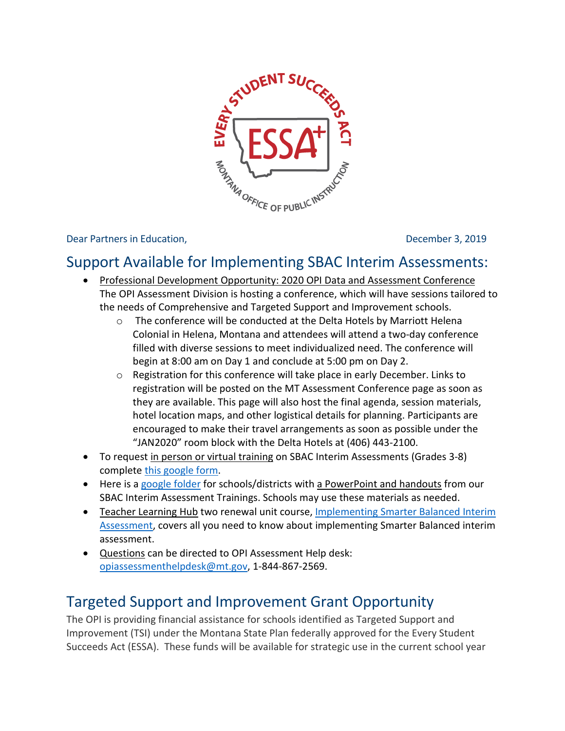

Dear Partners in Education, December 3, 2019

## Support Available for Implementing SBAC Interim Assessments:

- Professional Development Opportunity: 2020 OPI Data and Assessment Conference The OPI Assessment Division is hosting a conference, which will have sessions tailored to the needs of Comprehensive and Targeted Support and Improvement schools.
	- o The conference will be conducted at the Delta Hotels by Marriott Helena Colonial in Helena, Montana and attendees will attend a two-day conference filled with diverse sessions to meet individualized need. The conference will begin at 8:00 am on Day 1 and conclude at 5:00 pm on Day 2.
	- $\circ$  Registration for this conference will take place in early December. Links to registration will be posted on the MT Assessment Conference page as soon as they are available. This page will also host the final agenda, session materials, hotel location maps, and other logistical details for planning. Participants are encouraged to make their travel arrangements as soon as possible under the "JAN2020" room block with the Delta Hotels at (406) 443-2100.
- To request in person or virtual training on SBAC Interim Assessments (Grades 3-8) complet[e this google form.](https://www.wrike.com/frontend/requestforms/index.html?token=eyJhY2NvdW50SWQiOjExNDc1NzUsInRhc2tGb3JtSWQiOjE3OTU2NX0JNDY5OTAyMTY5MjEyNgkxYWFkM2FmOTVkZjIxNjk5ZTI0NWI5MDA4YjhhNTg2ZTMxNWVmNTAxMjEzMmEzY2ZhMGM5NGY4YTBkOWVjNDg5)
- Here is a [google folder](https://drive.google.com/drive/folders/1Jv4SkmH5QNCuKiZaCO7tUZIu-XjHTooX?usp=sharing) for schools/districts with a PowerPoint and handouts from our SBAC Interim Assessment Trainings. Schools may use these materials as needed.
- Teacher Learning Hub two renewal unit course, [Implementing Smarter Balanced Interim](https://learninghub.mrooms.net/course/view.php?id=379)  [Assessment,](https://learninghub.mrooms.net/course/view.php?id=379) covers all you need to know about implementing Smarter Balanced interim assessment.
- Questions can be directed to OPI Assessment Help desk: [opiassessmenthelpdesk@mt.gov,](mailto:opiassessmenthelpdesk@mt.gov) 1-844-867-2569.

## Targeted Support and Improvement Grant Opportunity

The OPI is providing financial assistance for schools identified as Targeted Support and Improvement (TSI) under the Montana State Plan federally approved for the Every Student Succeeds Act (ESSA). These funds will be available for strategic use in the current school year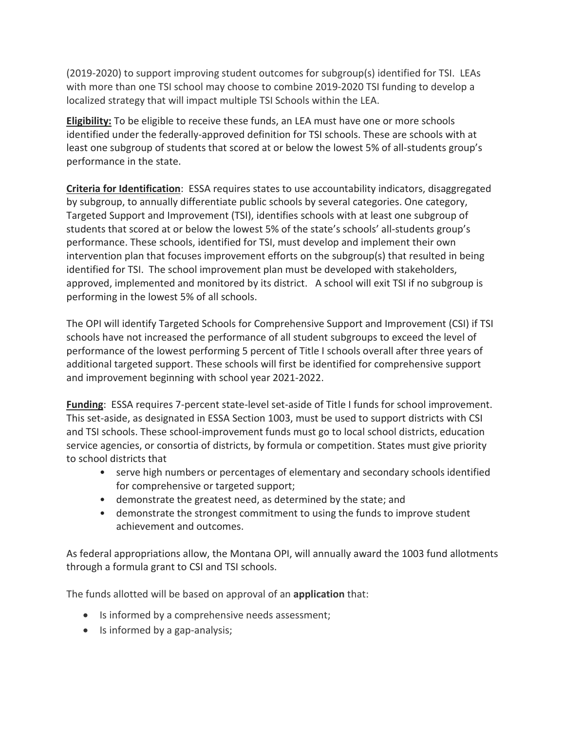(2019-2020) to support improving student outcomes for subgroup(s) identified for TSI. LEAs with more than one TSI school may choose to combine 2019-2020 TSI funding to develop a localized strategy that will impact multiple TSI Schools within the LEA.

**Eligibility:** To be eligible to receive these funds, an LEA must have one or more schools identified under the federally-approved definition for TSI schools. These are schools with at least one subgroup of students that scored at or below the lowest 5% of all-students group's performance in the state.

**Criteria for Identification**: ESSA requires states to use accountability indicators, disaggregated by subgroup, to annually differentiate public schools by several categories. One category, Targeted Support and Improvement (TSI), identifies schools with at least one subgroup of students that scored at or below the lowest 5% of the state's schools' all-students group's performance. These schools, identified for TSI, must develop and implement their own intervention plan that focuses improvement efforts on the subgroup(s) that resulted in being identified for TSI. The school improvement plan must be developed with stakeholders, approved, implemented and monitored by its district. A school will exit TSI if no subgroup is performing in the lowest 5% of all schools.

The OPI will identify Targeted Schools for Comprehensive Support and Improvement (CSI) if TSI schools have not increased the performance of all student subgroups to exceed the level of performance of the lowest performing 5 percent of Title I schools overall after three years of additional targeted support. These schools will first be identified for comprehensive support and improvement beginning with school year 2021-2022.

**Funding**: ESSA requires 7-percent state-level set-aside of Title I funds for school improvement. This set-aside, as designated in ESSA Section 1003, must be used to support districts with CSI and TSI schools. These school-improvement funds must go to local school districts, education service agencies, or consortia of districts, by formula or competition. States must give priority to school districts that

- serve high numbers or percentages of elementary and secondary schools identified for comprehensive or targeted support;
- demonstrate the greatest need, as determined by the state; and
- demonstrate the strongest commitment to using the funds to improve student achievement and outcomes.

As federal appropriations allow, the Montana OPI, will annually award the 1003 fund allotments through a formula grant to CSI and TSI schools.

The funds allotted will be based on approval of an **application** that:

- Is informed by a comprehensive needs assessment;
- Is informed by a gap-analysis;